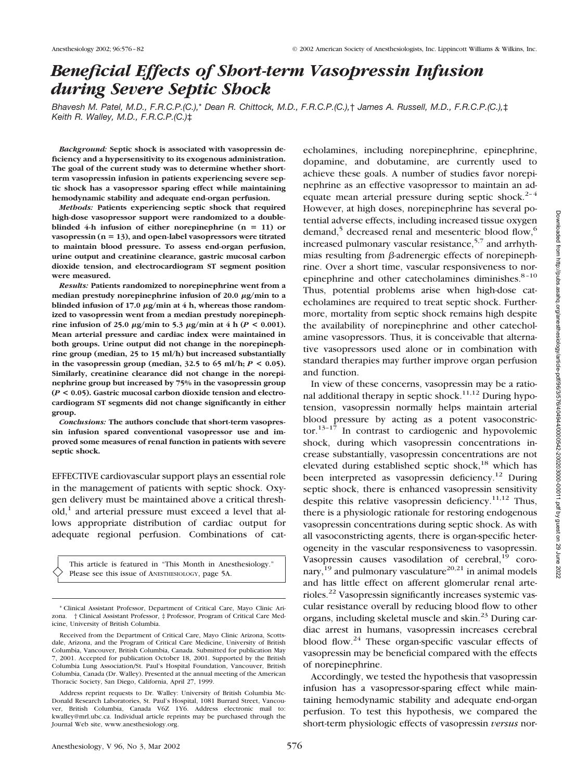# *Beneficial Effects of Short-term Vasopressin Infusion during Severe Septic Shock*

*Bhavesh M. Patel, M.D., F.R.C.P.(C.),*\* *Dean R. Chittock, M.D., F.R.C.P.(C.),*† *James A. Russell, M.D., F.R.C.P.(C.),*‡ *Keith R. Walley, M.D., F.R.C.P.(C.)*‡

*Background:* **Septic shock is associated with vasopressin deficiency and a hypersensitivity to its exogenous administration. The goal of the current study was to determine whether shortterm vasopressin infusion in patients experiencing severe septic shock has a vasopressor sparing effect while maintaining hemodynamic stability and adequate end-organ perfusion.**

*Methods:* **Patients experiencing septic shock that required high-dose vasopressor support were randomized to a doubleblinded** 4-h infusion of either norepinephrine  $(n = 11)$  or **vasopressin (n 13), and open-label vasopressors were titrated to maintain blood pressure. To assess end-organ perfusion, urine output and creatinine clearance, gastric mucosal carbon dioxide tension, and electrocardiogram ST segment position were measured.**

*Results:* **Patients randomized to norepinephrine went from a** median prestudy norepinephrine infusion of 20.0  $\mu$ g/min to a **blinded infusion of 17.0 μg/min at 4 h, whereas those randomized to vasopressin went from a median prestudy norepinephrine infusion of 25.0**  $\mu$ g/min to 5.3  $\mu$ g/min at 4 h (*P* < 0.001). **Mean arterial pressure and cardiac index were maintained in both groups. Urine output did not change in the norepinephrine group (median, 25 to 15 ml/h) but increased substantially in the vasopressin group (median, 32.5 to 65 ml/h;** *P* **< 0.05). Similarly, creatinine clearance did not change in the norepinephrine group but increased by 75% in the vasopressin group (***P* **< 0.05). Gastric mucosal carbon dioxide tension and electrocardiogram ST segments did not change significantly in either group.**

*Conclusions:* **The authors conclude that short-term vasopressin infusion spared conventional vasopressor use and improved some measures of renal function in patients with severe septic shock.**

EFFECTIVE cardiovascular support plays an essential role in the management of patients with septic shock. Oxygen delivery must be maintained above a critical thresh $old<sub>1</sub><sup>1</sup>$  and arterial pressure must exceed a level that allows appropriate distribution of cardiac output for adequate regional perfusion. Combinations of cat-

This article is featured in "This Month in Anesthesiology." Please see this issue of ANESTHESIOLOGY, page 5A.

echolamines, including norepinephrine, epinephrine, dopamine, and dobutamine, are currently used to achieve these goals. A number of studies favor norepinephrine as an effective vasopressor to maintain an adequate mean arterial pressure during septic shock.<sup>2-4</sup> However, at high doses, norepinephrine has several potential adverse effects, including increased tissue oxygen demand,<sup>5</sup> decreased renal and mesenteric blood flow,<sup>6</sup> increased pulmonary vascular resistance,<sup>5,7</sup> and arrhythmias resulting from  $\beta$ -adrenergic effects of norepinephrine. Over a short time, vascular responsiveness to norepinephrine and other catecholamines diminishes.<sup>8-10</sup> Thus, potential problems arise when high-dose catecholamines are required to treat septic shock. Furthermore, mortality from septic shock remains high despite the availability of norepinephrine and other catecholamine vasopressors. Thus, it is conceivable that alternative vasopressors used alone or in combination with standard therapies may further improve organ perfusion and function.

In view of these concerns, vasopressin may be a rational additional therapy in septic shock.<sup>11,12</sup> During hypotension, vasopressin normally helps maintain arterial blood pressure by acting as a potent vasoconstrictor. $13-17$  In contrast to cardiogenic and hypovolemic shock, during which vasopressin concentrations increase substantially, vasopressin concentrations are not elevated during established septic shock, $18$  which has been interpreted as vasopressin deficiency.<sup>12</sup> During septic shock, there is enhanced vasopressin sensitivity despite this relative vasopressin deficiency.<sup>11,12</sup> Thus, there is a physiologic rationale for restoring endogenous vasopressin concentrations during septic shock. As with all vasoconstricting agents, there is organ-specific heterogeneity in the vascular responsiveness to vasopressin. Vasopressin causes vasodilation of cerebral, <sup>19</sup> coronary,<sup>19</sup> and pulmonary vasculature<sup>20,21</sup> in animal models and has little effect on afferent glomerular renal arterioles.22 Vasopressin significantly increases systemic vascular resistance overall by reducing blood flow to other organs, including skeletal muscle and skin.<sup>23</sup> During cardiac arrest in humans, vasopressin increases cerebral blood flow.<sup>24</sup> These organ-specific vascular effects of vasopressin may be beneficial compared with the effects of norepinephrine.

Accordingly, we tested the hypothesis that vasopressin infusion has a vasopressor-sparing effect while maintaining hemodynamic stability and adequate end-organ perfusion. To test this hypothesis, we compared the short-term physiologic effects of vasopressin *versus* nor-

<sup>\*</sup> Clinical Assistant Professor, Department of Critical Care, Mayo Clinic Arizona. † Clinical Assistant Professor, ‡ Professor, Program of Critical Care Medicine, University of British Columbia.

Received from the Department of Critical Care, Mayo Clinic Arizona, Scottsdale, Arizona, and the Program of Critical Care Medicine, University of British Columbia, Vancouver, British Columbia, Canada. Submitted for publication May 7, 2001. Accepted for publication October 18, 2001. Supported by the British Columbia Lung Association/St. Paul's Hospital Foundation, Vancouver, British Columbia, Canada (Dr. Walley). Presented at the annual meeting of the American Thoracic Society, San Diego, California, April 27, 1999.

Address reprint requests to Dr. Walley: University of British Columbia Mc-Donald Research Laboratories, St. Paul's Hospital, 1081 Burrard Street, Vancouver, British Columbia, Canada V6Z 1Y6. Address electronic mail to: kwalley@mrl.ubc.ca. Individual article reprints may be purchased through the Journal Web site, www.anesthesiology.org.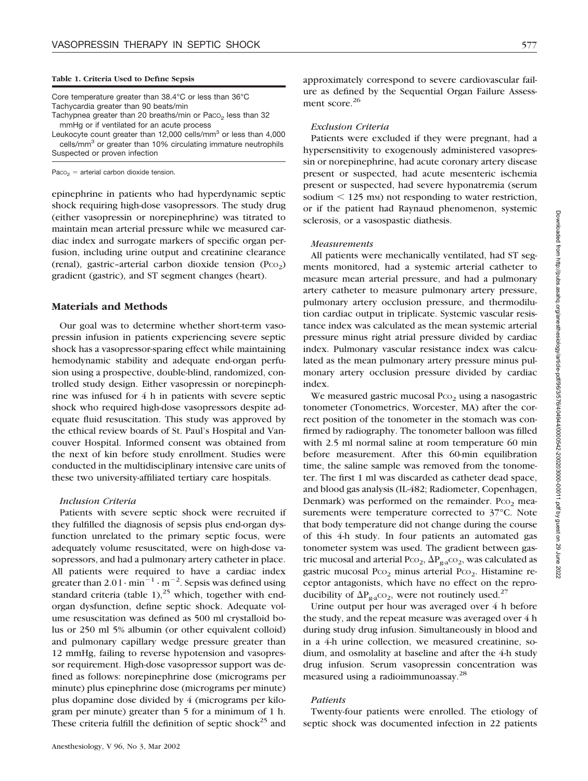Core temperature greater than 38.4°C or less than 36°C Tachycardia greater than 90 beats/min Tachypnea greater than 20 breaths/min or  $Paco<sub>2</sub>$  less than 32

mmHg or if ventilated for an acute process

Leukocyte count greater than 12,000 cells/mm<sup>3</sup> or less than 4,000 cells/mm<sup>3</sup> or greater than 10% circulating immature neutrophils Suspected or proven infection

 $Paco<sub>2</sub> =$  arterial carbon dioxide tension.

epinephrine in patients who had hyperdynamic septic shock requiring high-dose vasopressors. The study drug (either vasopressin or norepinephrine) was titrated to maintain mean arterial pressure while we measured cardiac index and surrogate markers of specific organ perfusion, including urine output and creatinine clearance (renal), gastric-arterial carbon dioxide tension  $(P_{CO_2})$ gradient (gastric), and ST segment changes (heart).

### **Materials and Methods**

Our goal was to determine whether short-term vasopressin infusion in patients experiencing severe septic shock has a vasopressor-sparing effect while maintaining hemodynamic stability and adequate end-organ perfusion using a prospective, double-blind, randomized, controlled study design. Either vasopressin or norepinephrine was infused for 4 h in patients with severe septic shock who required high-dose vasopressors despite adequate fluid resuscitation. This study was approved by the ethical review boards of St. Paul's Hospital and Vancouver Hospital. Informed consent was obtained from the next of kin before study enrollment. Studies were conducted in the multidisciplinary intensive care units of these two university-affiliated tertiary care hospitals.

## *Inclusion Criteria*

Patients with severe septic shock were recruited if they fulfilled the diagnosis of sepsis plus end-organ dysfunction unrelated to the primary septic focus, were adequately volume resuscitated, were on high-dose vasopressors, and had a pulmonary artery catheter in place. All patients were required to have a cardiac index greater than  $2.01 \cdot \text{min}^{-1} \cdot \text{m}^{-2}$ . Sepsis was defined using standard criteria (table 1),<sup>25</sup> which, together with endorgan dysfunction, define septic shock. Adequate volume resuscitation was defined as 500 ml crystalloid bolus or 250 ml 5% albumin (or other equivalent colloid) and pulmonary capillary wedge pressure greater than 12 mmHg, failing to reverse hypotension and vasopressor requirement. High-dose vasopressor support was defined as follows: norepinephrine dose (micrograms per minute) plus epinephrine dose (micrograms per minute) plus dopamine dose divided by 4 (micrograms per kilogram per minute) greater than 5 for a minimum of 1 h. These criteria fulfill the definition of septic shock<sup>25</sup> and

approximately correspond to severe cardiovascular failure as defined by the Sequential Organ Failure Assessment score.<sup>26</sup>

### *Exclusion Criteria*

Patients were excluded if they were pregnant, had a hypersensitivity to exogenously administered vasopressin or norepinephrine, had acute coronary artery disease present or suspected, had acute mesenteric ischemia present or suspected, had severe hyponatremia (serum sodium  $\leq$  125 mm) not responding to water restriction, or if the patient had Raynaud phenomenon, systemic sclerosis, or a vasospastic diathesis.

#### *Measurements*

All patients were mechanically ventilated, had ST segments monitored, had a systemic arterial catheter to measure mean arterial pressure, and had a pulmonary artery catheter to measure pulmonary artery pressure, pulmonary artery occlusion pressure, and thermodilution cardiac output in triplicate. Systemic vascular resistance index was calculated as the mean systemic arterial pressure minus right atrial pressure divided by cardiac index. Pulmonary vascular resistance index was calculated as the mean pulmonary artery pressure minus pulmonary artery occlusion pressure divided by cardiac index.

We measured gastric mucosal  $P_{CO_2}$  using a nasogastric tonometer (Tonometrics, Worcester, MA) after the correct position of the tonometer in the stomach was confirmed by radiography. The tonometer balloon was filled with 2.5 ml normal saline at room temperature 60 min before measurement. After this 60-min equilibration time, the saline sample was removed from the tonometer. The first 1 ml was discarded as catheter dead space, and blood gas analysis (IL-482; Radiometer, Copenhagen, Denmark) was performed on the remainder. P $co<sub>2</sub>$  measurements were temperature corrected to 37°C. Note that body temperature did not change during the course of this 4-h study. In four patients an automated gas tonometer system was used. The gradient between gastric mucosal and arterial Pco<sub>2</sub>,  $\Delta P_{\rm g-a}$ co<sub>2</sub>, was calculated as gastric mucosal P $\infty$ <sub>2</sub> minus arterial P $\infty$ <sub>2</sub>. Histamine receptor antagonists, which have no effect on the reproducibility of  $\Delta P_{g_2}$ co<sub>2</sub>, were not routinely used.<sup>27</sup>

Urine output per hour was averaged over 4 h before the study, and the repeat measure was averaged over 4 h during study drug infusion. Simultaneously in blood and in a 4-h urine collection, we measured creatinine, sodium, and osmolality at baseline and after the 4-h study drug infusion. Serum vasopressin concentration was measured using a radioimmunoassay.28

### *Patients*

Twenty-four patients were enrolled. The etiology of septic shock was documented infection in 22 patients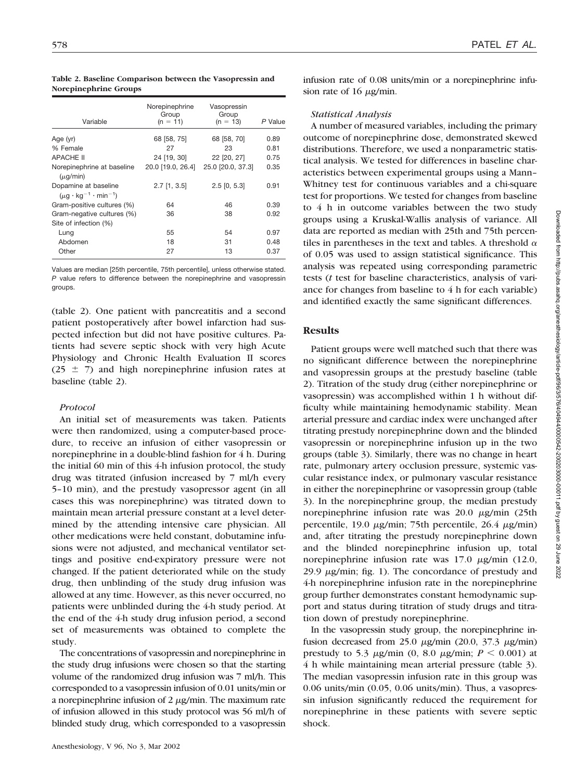| Variable                                                         | Norepinephrine<br>Group<br>$(n = 11)$ | Vasopressin<br>Group<br>$(n = 13)$ | P Value |
|------------------------------------------------------------------|---------------------------------------|------------------------------------|---------|
| Age (yr)                                                         | 68 [58, 75]                           | 68 [58, 70]                        | 0.89    |
| % Female                                                         | 27                                    | 23                                 | 0.81    |
| <b>APACHE II</b>                                                 | 24 [19, 30]                           | 22 [20, 27]                        | 0.75    |
| Norepinephrine at baseline<br>$(\mu q/min)$                      | 20.0 [19.0, 26.4]                     | 25.0 [20.0, 37.3]                  | 0.35    |
| Dopamine at baseline<br>$(\mu a \cdot k a^{-1} \cdot m in^{-1})$ | $2.7$ [1, 3.5]                        | $2.5$ [0, 5.3]                     | 0.91    |
| Gram-positive cultures (%)                                       | 64                                    | 46                                 | 0.39    |
| Gram-negative cultures (%)                                       | 36                                    | 38                                 | 0.92    |
| Site of infection (%)                                            |                                       |                                    |         |
| Lung                                                             | 55                                    | 54                                 | 0.97    |
| Abdomen                                                          | 18                                    | 31                                 | 0.48    |
| Other                                                            | 27                                    | 13                                 | 0.37    |

**Table 2. Baseline Comparison between the Vasopressin and Norepinephrine Groups**

Values are median [25th percentile, 75th percentile], unless otherwise stated. *P* value refers to difference between the norepinephrine and vasopressin groups.

(table 2). One patient with pancreatitis and a second patient postoperatively after bowel infarction had suspected infection but did not have positive cultures. Patients had severe septic shock with very high Acute Physiology and Chronic Health Evaluation II scores  $(25 \pm 7)$  and high norepinephrine infusion rates at baseline (table 2).

# *Protocol*

An initial set of measurements was taken. Patients were then randomized, using a computer-based procedure, to receive an infusion of either vasopressin or norepinephrine in a double-blind fashion for 4 h. During the initial 60 min of this 4-h infusion protocol, the study drug was titrated (infusion increased by 7 ml/h every 5–10 min), and the prestudy vasopressor agent (in all cases this was norepinephrine) was titrated down to maintain mean arterial pressure constant at a level determined by the attending intensive care physician. All other medications were held constant, dobutamine infusions were not adjusted, and mechanical ventilator settings and positive end-expiratory pressure were not changed. If the patient deteriorated while on the study drug, then unblinding of the study drug infusion was allowed at any time. However, as this never occurred, no patients were unblinded during the 4-h study period. At the end of the 4-h study drug infusion period, a second set of measurements was obtained to complete the study.

The concentrations of vasopressin and norepinephrine in the study drug infusions were chosen so that the starting volume of the randomized drug infusion was 7 ml/h. This corresponded to a vasopressin infusion of 0.01 units/min or a norepinephrine infusion of  $2 \mu$ g/min. The maximum rate of infusion allowed in this study protocol was 56 ml/h of blinded study drug, which corresponded to a vasopressin

infusion rate of 0.08 units/min or a norepinephrine infusion rate of 16  $\mu$ g/min.

# *Statistical Analysis*

A number of measured variables, including the primary outcome of norepinephrine dose, demonstrated skewed distributions. Therefore, we used a nonparametric statistical analysis. We tested for differences in baseline characteristics between experimental groups using a Mann– Whitney test for continuous variables and a chi-square test for proportions. We tested for changes from baseline to 4 h in outcome variables between the two study groups using a Kruskal-Wallis analysis of variance. All data are reported as median with 25th and 75th percentiles in parentheses in the text and tables. A threshold  $\alpha$ of 0.05 was used to assign statistical significance. This analysis was repeated using corresponding parametric tests (*t* test for baseline characteristics, analysis of variance for changes from baseline to 4 h for each variable) and identified exactly the same significant differences.

# **Results**

Patient groups were well matched such that there was no significant difference between the norepinephrine and vasopressin groups at the prestudy baseline (table 2). Titration of the study drug (either norepinephrine or vasopressin) was accomplished within 1 h without difficulty while maintaining hemodynamic stability. Mean arterial pressure and cardiac index were unchanged after titrating prestudy norepinephrine down and the blinded vasopressin or norepinephrine infusion up in the two groups (table 3). Similarly, there was no change in heart rate, pulmonary artery occlusion pressure, systemic vascular resistance index, or pulmonary vascular resistance in either the norepinephrine or vasopressin group (table 3). In the norepinephrine group, the median prestudy norepinephrine infusion rate was 20.0 µg/min (25th percentile,  $19.0 \mu g/min$ ; 75th percentile,  $26.4 \mu g/min$ ) and, after titrating the prestudy norepinephrine down and the blinded norepinephrine infusion up, total norepinephrine infusion rate was  $17.0 \mu g/min$  (12.0,  $29.9 \mu$ g/min; fig. 1). The concordance of prestudy and 4-h norepinephrine infusion rate in the norepinephrine group further demonstrates constant hemodynamic support and status during titration of study drugs and titration down of prestudy norepinephrine.

In the vasopressin study group, the norepinephrine infusion decreased from 25.0  $\mu$ g/min (20.0, 37.3  $\mu$ g/min) prestudy to 5.3  $\mu$ g/min (0, 8.0  $\mu$ g/min; *P* < 0.001) at 4 h while maintaining mean arterial pressure (table 3). The median vasopressin infusion rate in this group was 0.06 units/min (0.05, 0.06 units/min). Thus, a vasopressin infusion significantly reduced the requirement for norepinephrine in these patients with severe septic shock.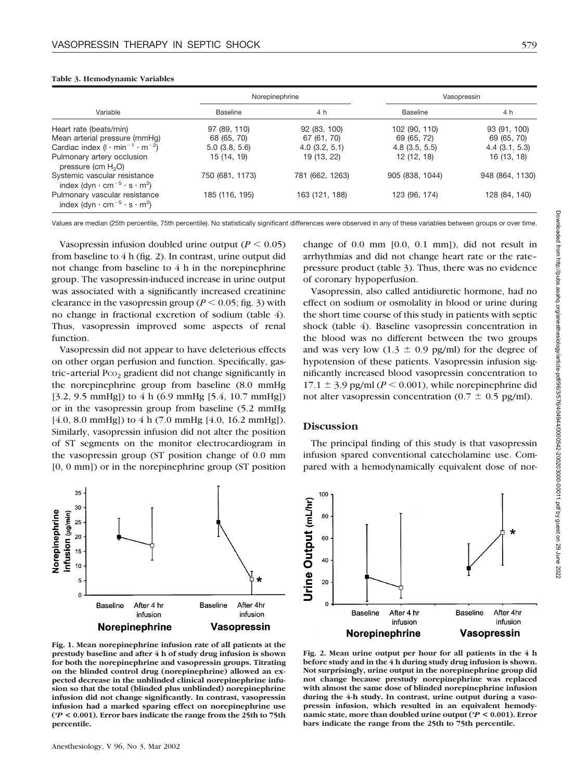#### Variable Norepinephrine Vasopressin Baseline 1990 **A** h Baseline 4 h Baseline 4 h Heart rate (beats/min) 97 (89, 110) 92 (83, 100) 102 (90, 110) 93 (91, 100) Mean arterial pressure (mmHg) 68 (65, 70) 67 (61, 70) 69 (65, 72) 69 (65, 70) Cardiac index  $(l \cdot min^{-1} \cdot m^{-2})$ ) 5.0 (3.8, 5.6) 4.0 (3.2, 5.1) 4.8 (3.5, 5.5) 4.4 (3.1, 5.3) Pulmonary artery occlusion pressure (cm  $H<sub>2</sub>O$ ) 15 (14, 19) 19 (13, 22) 12 (12, 18) 16 (13, 18) Systemic vascular resistance index (dyn  $\cdot$  cm $^{-5}$   $\cdot$  s  $\cdot$  m<sup>2</sup>) 750 (681, 1173) 781 (662, 1263) 905 (838, 1044) 948 (864, 1130) Pulmonary vascular resistance index (dyn  $\cdot$  cm $^{-5}$   $\cdot$  s  $\cdot$  m<sup>2</sup>) 185 (116, 195) 163 (121, 188) 123 (96, 174) 128 (84, 140)

#### **Table 3. Hemodynamic Variables**

Values are median (25th percentile, 75th percentile). No statistically significant differences were observed in any of these variables between groups or over time.

Vasopressin infusion doubled urine output  $(P < 0.05)$ from baseline to  $4 h$  (fig. 2). In contrast, urine output did not change from baseline to 4 h in the norepinephrine group. The vasopressin-induced increase in urine output was associated with a significantly increased creatinine clearance in the vasopressin group ( $P < 0.05$ ; fig. 3) with no change in fractional excretion of sodium (table 4). Thus, vasopressin improved some aspects of renal function.

Vasopressin did not appear to have deleterious effects on other organ perfusion and function. Specifically, gastric-arterial  $P_{CO_2}$  gradient did not change significantly in the norepinephrine group from baseline (8.0 mmHg [3.2, 9.5 mmHg]) to 4 h (6.9 mmHg [5.4, 10.7 mmHg]) or in the vasopressin group from baseline (5.2 mmHg [4.0, 8.0 mmHg]) to 4 h (7.0 mmHg [4.0, 16.2 mmHg]). Similarly, vasopressin infusion did not alter the position of ST segments on the monitor electrocardiogram in the vasopressin group (ST position change of 0.0 mm [0, 0 mm]) or in the norepinephrine group (ST position



**Fig. 1. Mean norepinephrine infusion rate of all patients at the prestudy baseline and after 4 h of study drug infusion is shown for both the norepinephrine and vasopressin groups. Titrating on the blinded control drug (norepinephrine) allowed an expected decrease in the unblinded clinical norepinephrine infusion so that the total (blinded plus unblinded) norepinephrine infusion did not change significantly. In contrast, vasopressin infusion had a marked sparing effect on norepinephrine use (\****P* **< 0.001). Error bars indicate the range from the 25th to 75th percentile.**

change of 0.0 mm [0.0, 0.1 mm]), did not result in arrhythmias and did not change heart rate or the rate– pressure product (table 3). Thus, there was no evidence of coronary hypoperfusion.

Vasopressin, also called antidiuretic hormone, had no effect on sodium or osmolality in blood or urine during the short time course of this study in patients with septic shock (table 4). Baseline vasopressin concentration in the blood was no different between the two groups and was very low  $(1.3 \pm 0.9 \text{ pg/ml})$  for the degree of hypotension of these patients. Vasopressin infusion significantly increased blood vasopressin concentration to  $17.1 \pm 3.9$  pg/ml ( $P \le 0.001$ ), while norepinephrine did not alter vasopressin concentration (0.7  $\pm$  0.5 pg/ml).

# **Discussion**

The principal finding of this study is that vasopressin infusion spared conventional catecholamine use. Compared with a hemodynamically equivalent dose of nor-



**Fig. 2. Mean urine output per hour for all patients in the 4 h before study and in the 4 h during study drug infusion is shown. Not surprisingly, urine output in the norepinephrine group did not change because prestudy norepinephrine was replaced with almost the same dose of blinded norepinephrine infusion during the 4-h study. In contrast, urine output during a vasopressin infusion, which resulted in an equivalent hemodynamic state, more than doubled urine output (\****P* **< 0.001). Error bars indicate the range from the 25th to 75th percentile.**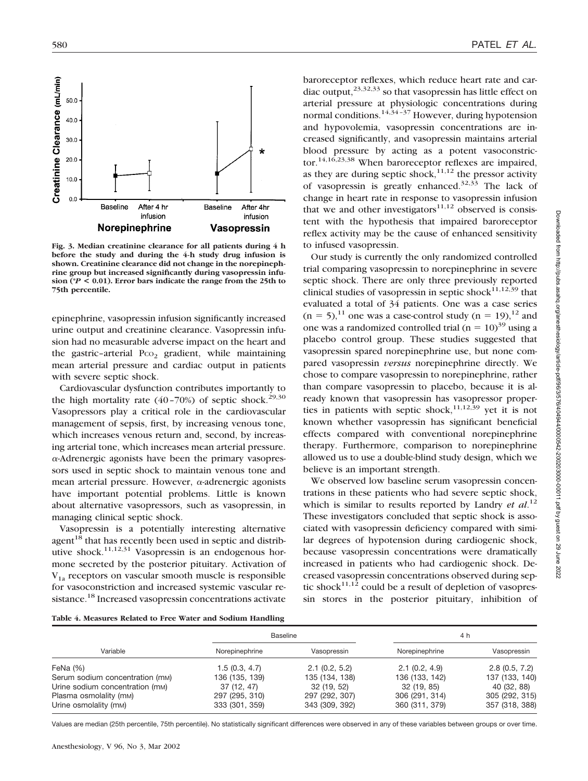

**Fig. 3. Median creatinine clearance for all patients during 4 h before the study and during the 4-h study drug infusion is shown. Creatinine clearance did not change in the norepinephrine group but increased significantly during vasopressin infusion (\****P* **< 0.01). Error bars indicate the range from the 25th to 75th percentile.**

epinephrine, vasopressin infusion significantly increased urine output and creatinine clearance. Vasopressin infusion had no measurable adverse impact on the heart and the gastric-arterial  $P_{CO_2}$  gradient, while maintaining mean arterial pressure and cardiac output in patients with severe septic shock.

Cardiovascular dysfunction contributes importantly to the high mortality rate  $(40-70%)$  of septic shock.<sup>29,30</sup> Vasopressors play a critical role in the cardiovascular management of sepsis, first, by increasing venous tone, which increases venous return and, second, by increasing arterial tone, which increases mean arterial pressure.  $\alpha$ -Adrenergic agonists have been the primary vasopressors used in septic shock to maintain venous tone and mean arterial pressure. However,  $\alpha$ -adrenergic agonists have important potential problems. Little is known about alternative vasopressors, such as vasopressin, in managing clinical septic shock.

Vasopressin is a potentially interesting alternative agent $18$  that has recently been used in septic and distributive shock.<sup>11,12,31</sup> Vasopressin is an endogenous hormone secreted by the posterior pituitary. Activation of  $V_{1a}$  receptors on vascular smooth muscle is responsible for vasoconstriction and increased systemic vascular resistance.<sup>18</sup> Increased vasopressin concentrations activate

baroreceptor reflexes, which reduce heart rate and cardiac output, $23,32,33$  so that vasopressin has little effect on arterial pressure at physiologic concentrations during normal conditions.<sup>14,34–37</sup> However, during hypotension and hypovolemia, vasopressin concentrations are increased significantly, and vasopressin maintains arterial blood pressure by acting as a potent vasoconstrictor.14,16,23,38 When baroreceptor reflexes are impaired, as they are during septic shock, $11,12$  the pressor activity of vasopressin is greatly enhanced.<sup>32,33</sup> The lack of change in heart rate in response to vasopressin infusion that we and other investigators<sup>11,12</sup> observed is consistent with the hypothesis that impaired baroreceptor reflex activity may be the cause of enhanced sensitivity to infused vasopressin.

Our study is currently the only randomized controlled trial comparing vasopressin to norepinephrine in severe septic shock. There are only three previously reported clinical studies of vasopressin in septic shock $11,12,39$  that evaluated a total of 34 patients. One was a case series  $(n = 5)$ ,<sup>11</sup> one was a case-control study  $(n = 19)$ ,<sup>12</sup> and one was a randomized controlled trial ( $n = 10$ )<sup>39</sup> using a placebo control group. These studies suggested that vasopressin spared norepinephrine use, but none compared vasopressin *versus* norepinephrine directly. We chose to compare vasopressin to norepinephrine, rather than compare vasopressin to placebo, because it is already known that vasopressin has vasopressor properties in patients with septic shock,<sup>11,12,39</sup> yet it is not known whether vasopressin has significant beneficial effects compared with conventional norepinephrine therapy. Furthermore, comparison to norepinephrine allowed us to use a double-blind study design, which we believe is an important strength.

We observed low baseline serum vasopressin concentrations in these patients who had severe septic shock, which is similar to results reported by Landry *et al.*<sup>12</sup> These investigators concluded that septic shock is associated with vasopressin deficiency compared with similar degrees of hypotension during cardiogenic shock, because vasopressin concentrations were dramatically increased in patients who had cardiogenic shock. Decreased vasopressin concentrations observed during septic shock<sup>11,12</sup> could be a result of depletion of vasopressin stores in the posterior pituitary, inhibition of

| Table 4. Measures Related to Free Water and Sodium Handling |  |
|-------------------------------------------------------------|--|
|-------------------------------------------------------------|--|

|                                 | <b>Baseline</b> |                |                | 4 h            |
|---------------------------------|-----------------|----------------|----------------|----------------|
| Variable                        | Norepinephrine  | Vasopressin    | Norepinephrine | Vasopressin    |
| FeNa $(%)$                      | 1.5(0.3, 4.7)   | 2.1(0.2, 5.2)  | 2.1(0.2, 4.9)  | 2.8(0.5, 7.2)  |
| Serum sodium concentration (mm) | 136 (135, 139)  | 135 (134, 138) | 136 (133, 142) | 137 (133, 140) |
| Urine sodium concentration (mm) | 37(12, 47)      | 32(19, 52)     | 32 (19, 85)    | 40 (32, 88)    |
| Plasma osmolality (mM)          | 297 (295, 310)  | 297 (292, 307) | 306 (291, 314) | 305 (292, 315) |
| Urine osmolality (mm)           | 333 (301, 359)  | 343 (309, 392) | 360 (311, 379) | 357 (318, 388) |

Values are median (25th percentile, 75th percentile). No statistically significant differences were observed in any of these variables between groups or over time.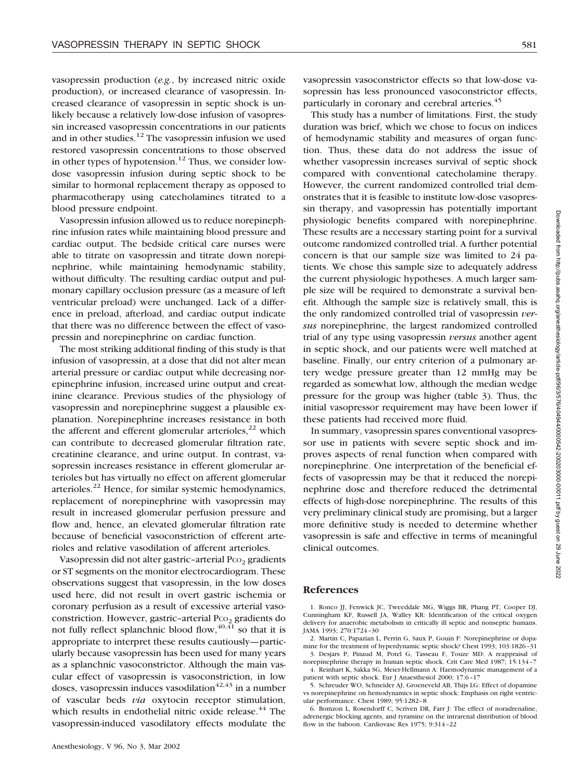vasopressin production (*e.g.*, by increased nitric oxide production), or increased clearance of vasopressin. Increased clearance of vasopressin in septic shock is unlikely because a relatively low-dose infusion of vasopressin increased vasopressin concentrations in our patients and in other studies. $12$  The vasopressin infusion we used restored vasopressin concentrations to those observed in other types of hypotension.<sup>12</sup> Thus, we consider lowdose vasopressin infusion during septic shock to be similar to hormonal replacement therapy as opposed to pharmacotherapy using catecholamines titrated to a blood pressure endpoint.

Vasopressin infusion allowed us to reduce norepinephrine infusion rates while maintaining blood pressure and cardiac output. The bedside critical care nurses were able to titrate on vasopressin and titrate down norepinephrine, while maintaining hemodynamic stability, without difficulty. The resulting cardiac output and pulmonary capillary occlusion pressure (as a measure of left ventricular preload) were unchanged. Lack of a difference in preload, afterload, and cardiac output indicate that there was no difference between the effect of vasopressin and norepinephrine on cardiac function.

The most striking additional finding of this study is that infusion of vasopressin, at a dose that did not alter mean arterial pressure or cardiac output while decreasing norepinephrine infusion, increased urine output and creatinine clearance. Previous studies of the physiology of vasopressin and norepinephrine suggest a plausible explanation. Norepinephrine increases resistance in both the afferent and efferent glomerular arterioles, $^{22}$  which can contribute to decreased glomerular filtration rate, creatinine clearance, and urine output. In contrast, vasopressin increases resistance in efferent glomerular arterioles but has virtually no effect on afferent glomerular arterioles.22 Hence, for similar systemic hemodynamics, replacement of norepinephrine with vasopressin may result in increased glomerular perfusion pressure and flow and, hence, an elevated glomerular filtration rate because of beneficial vasoconstriction of efferent arterioles and relative vasodilation of afferent arterioles.

Vasopressin did not alter gastric–arterial Pco<sub>2</sub> gradients or ST segments on the monitor electrocardiogram. These observations suggest that vasopressin, in the low doses used here, did not result in overt gastric ischemia or coronary perfusion as a result of excessive arterial vasoconstriction. However, gastric-arterial Pco<sub>2</sub> gradients do not fully reflect splanchnic blood flow,  $40, \overline{41}$  so that it is appropriate to interpret these results cautiously—particularly because vasopressin has been used for many years as a splanchnic vasoconstrictor. Although the main vascular effect of vasopressin is vasoconstriction, in low doses, vasopressin induces vasodilation<sup> $42,43$ </sup> in a number of vascular beds *via* oxytocin receptor stimulation, which results in endothelial nitric oxide release. $44$  The vasopressin-induced vasodilatory effects modulate the

vasopressin vasoconstrictor effects so that low-dose vasopressin has less pronounced vasoconstrictor effects, particularly in coronary and cerebral arteries.<sup>45</sup>

This study has a number of limitations. First, the study duration was brief, which we chose to focus on indices of hemodynamic stability and measures of organ function. Thus, these data do not address the issue of whether vasopressin increases survival of septic shock compared with conventional catecholamine therapy. However, the current randomized controlled trial demonstrates that it is feasible to institute low-dose vasopressin therapy, and vasopressin has potentially important physiologic benefits compared with norepinephrine. These results are a necessary starting point for a survival outcome randomized controlled trial. A further potential concern is that our sample size was limited to 24 patients. We chose this sample size to adequately address the current physiologic hypotheses. A much larger sample size will be required to demonstrate a survival benefit. Although the sample size is relatively small, this is the only randomized controlled trial of vasopressin *versus* norepinephrine, the largest randomized controlled trial of any type using vasopressin *versus* another agent in septic shock, and our patients were well matched at baseline. Finally, our entry criterion of a pulmonary artery wedge pressure greater than 12 mmHg may be regarded as somewhat low, although the median wedge pressure for the group was higher (table 3). Thus, the initial vasopressor requirement may have been lower if these patients had received more fluid.

In summary, vasopressin spares conventional vasopressor use in patients with severe septic shock and improves aspects of renal function when compared with norepinephrine. One interpretation of the beneficial effects of vasopressin may be that it reduced the norepinephrine dose and therefore reduced the detrimental effects of high-dose norepinephrine. The results of this very preliminary clinical study are promising, but a larger more definitive study is needed to determine whether vasopressin is safe and effective in terms of meaningful clinical outcomes.

## **References**

1. Ronco JJ, Fenwick JC, Tweeddale MG, Wiggs BR, Phang PT, Cooper DJ, Cunningham KF, Russell JA, Walley KR: Identification of the critical oxygen delivery for anaerobic metabolism in critically ill septic and nonseptic humans. JAMA 1993; 270:1724–30

2. Martin C, Papazian L, Perrin G, Saux P, Gouin F: Norepinephrine or dopamine for the treatment of hyperdynamic septic shock? Chest 1993; 103:1826–31 3. Desjars P, Pinaud M, Potel G, Tasseau F, Touze MD: A reappraisal of

norepinephrine therapy in human septic shock. Crit Care Med 1987; 15:134–7 4. Reinhart K, Sakka SG, Meier-Hellmann A: Haemodynamic management of a patient with septic shock. Eur J Anaesthesiol 2000; 17:6–17

5. Schreuder WO, Schneider AJ, Groeneveld AB, Thijs LG: Effect of dopamine vs norepinephrine on hemodynamics in septic shock: Emphasis on right ventricular performance. Chest 1989; 95:1282–8

6. Bomzon L, Rosendorff C, Scriven DR, Farr J: The effect of noradrenaline, adrenergic blocking agents, and tyramine on the intrarenal distribution of blood flow in the baboon. Cardiovasc Res 1975; 9:314–22